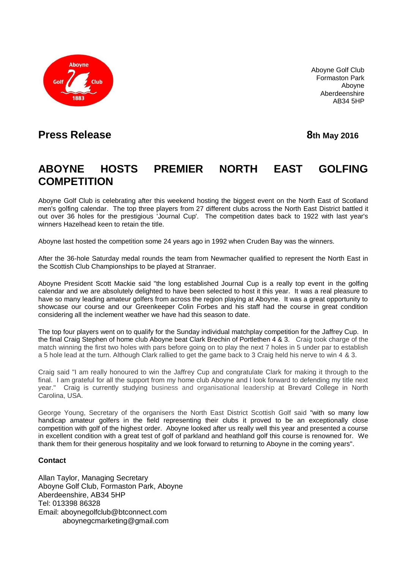

Aboyne Golf Club Formaston Park Aboyne Aberdeenshire AB34 5HP

## **Press Release 8th** May 2016

## **ABOYNE HOSTS PREMIER NORTH EAST GOLFING COMPETITION**

Aboyne Golf Club is celebrating after this weekend hosting the biggest event on the North East of Scotland men's golfing calendar. The top three players from 27 different clubs across the North East District battled it out over 36 holes for the prestigious 'Journal Cup'. The competition dates back to 1922 with last year's winners Hazelhead keen to retain the title.

Aboyne last hosted the competition some 24 years ago in 1992 when Cruden Bay was the winners.

After the 36-hole Saturday medal rounds the team from Newmacher qualified to represent the North East in the Scottish Club Championships to be played at Stranraer.

Aboyne President Scott Mackie said "the long established Journal Cup is a really top event in the golfing calendar and we are absolutely delighted to have been selected to host it this year. It was a real pleasure to have so many leading amateur golfers from across the region playing at Aboyne. It was a great opportunity to showcase our course and our Greenkeeper Colin Forbes and his staff had the course in great condition considering all the inclement weather we have had this season to date.

The top four players went on to qualify for the Sunday individual matchplay competition for the Jaffrey Cup. In the final Craig Stephen of home club Aboyne beat Clark Brechin of Portlethen 4 & 3. Craig took charge of the match winning the first two holes with pars before going on to play the next 7 holes in 5 under par to establish a 5 hole lead at the turn. Although Clark rallied to get the game back to 3 Craig held his nerve to win 4 & 3.

Craig said "I am really honoured to win the Jaffrey Cup and congratulate Clark for making it through to the final. I am grateful for all the support from my home club Aboyne and I look forward to defending my title next year." Craig is currently studying business and organisational leadership at Brevard College in North Carolina, USA.

George Young, Secretary of the organisers the North East District Scottish Golf said "with so many low handicap amateur golfers in the field representing their clubs it proved to be an exceptionally close competition with golf of the highest order. Aboyne looked after us really well this year and presented a course in excellent condition with a great test of golf of parkland and heathland golf this course is renowned for. We thank them for their generous hospitality and we look forward to returning to Aboyne in the coming years".

## **Contact**

Allan Taylor, Managing Secretary Aboyne Golf Club, Formaston Park, Aboyne Aberdeenshire, AB34 5HP Tel: 013398 86328 Email: [aboynegolfclub@btconnect.com](mailto:aboynegolfclub@btconnect.com) [aboynegcmarketing@gmail.com](mailto:aboynegcmarketing@gmail.com)